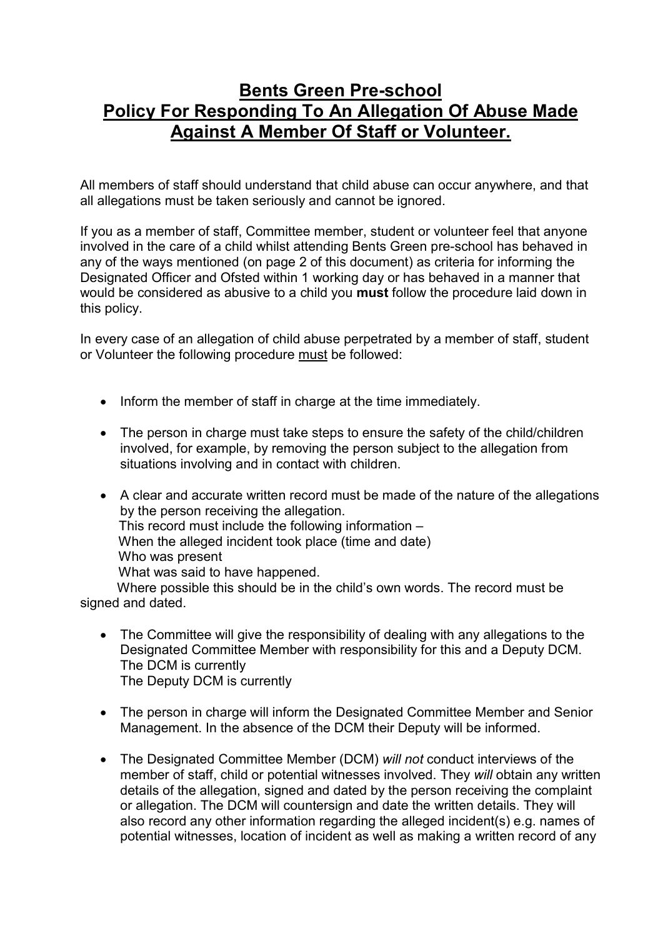## Bents Green Pre-school Policy For Responding To An Allegation Of Abuse Made Against A Member Of Staff or Volunteer.

All members of staff should understand that child abuse can occur anywhere, and that all allegations must be taken seriously and cannot be ignored.

If you as a member of staff, Committee member, student or volunteer feel that anyone involved in the care of a child whilst attending Bents Green pre-school has behaved in any of the ways mentioned (on page 2 of this document) as criteria for informing the Designated Officer and Ofsted within 1 working day or has behaved in a manner that would be considered as abusive to a child you must follow the procedure laid down in this policy.

In every case of an allegation of child abuse perpetrated by a member of staff, student or Volunteer the following procedure must be followed:

- Inform the member of staff in charge at the time immediately.
- The person in charge must take steps to ensure the safety of the child/children involved, for example, by removing the person subject to the allegation from situations involving and in contact with children.
- A clear and accurate written record must be made of the nature of the allegations by the person receiving the allegation. This record must include the following information – When the alleged incident took place (time and date) Who was present What was said to have happened. Where possible this should be in the child's own words. The record must be

signed and dated.

- The Committee will give the responsibility of dealing with any allegations to the Designated Committee Member with responsibility for this and a Deputy DCM. The DCM is currently The Deputy DCM is currently
- The person in charge will inform the Designated Committee Member and Senior Management. In the absence of the DCM their Deputy will be informed.
- The Designated Committee Member (DCM) will not conduct interviews of the member of staff, child or potential witnesses involved. They will obtain any written details of the allegation, signed and dated by the person receiving the complaint or allegation. The DCM will countersign and date the written details. They will also record any other information regarding the alleged incident(s) e.g. names of potential witnesses, location of incident as well as making a written record of any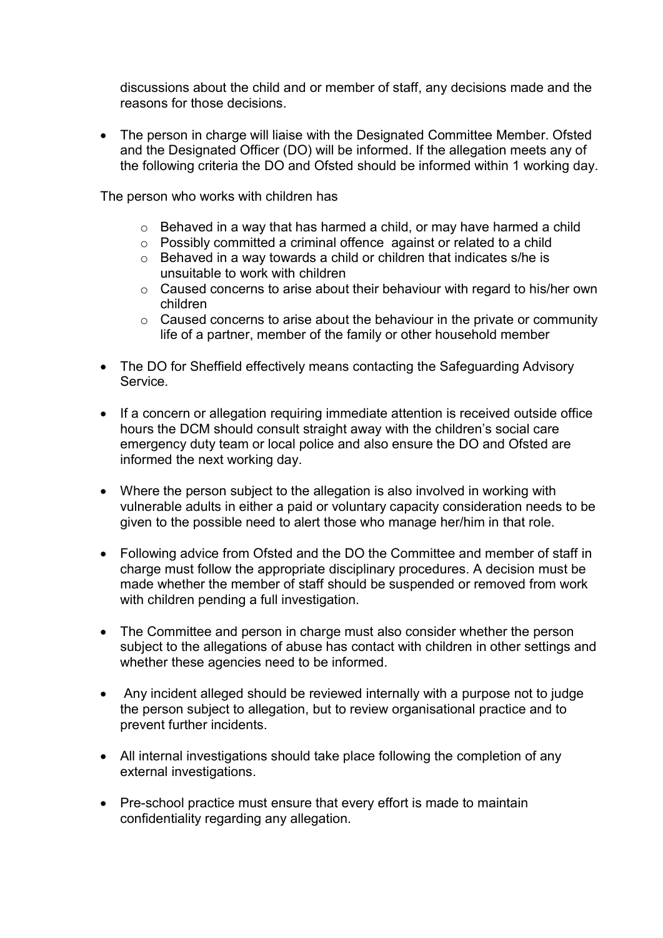discussions about the child and or member of staff, any decisions made and the reasons for those decisions.

• The person in charge will liaise with the Designated Committee Member. Ofsted and the Designated Officer (DO) will be informed. If the allegation meets any of the following criteria the DO and Ofsted should be informed within 1 working day.

The person who works with children has

- o Behaved in a way that has harmed a child, or may have harmed a child
- o Possibly committed a criminal offence against or related to a child
- o Behaved in a way towards a child or children that indicates s/he is unsuitable to work with children
- o Caused concerns to arise about their behaviour with regard to his/her own children
- o Caused concerns to arise about the behaviour in the private or community life of a partner, member of the family or other household member
- The DO for Sheffield effectively means contacting the Safeguarding Advisory **Service**
- If a concern or allegation requiring immediate attention is received outside office hours the DCM should consult straight away with the children's social care emergency duty team or local police and also ensure the DO and Ofsted are informed the next working day.
- Where the person subject to the allegation is also involved in working with vulnerable adults in either a paid or voluntary capacity consideration needs to be given to the possible need to alert those who manage her/him in that role.
- Following advice from Ofsted and the DO the Committee and member of staff in charge must follow the appropriate disciplinary procedures. A decision must be made whether the member of staff should be suspended or removed from work with children pending a full investigation.
- The Committee and person in charge must also consider whether the person subject to the allegations of abuse has contact with children in other settings and whether these agencies need to be informed.
- Any incident alleged should be reviewed internally with a purpose not to judge the person subject to allegation, but to review organisational practice and to prevent further incidents.
- All internal investigations should take place following the completion of any external investigations.
- Pre-school practice must ensure that every effort is made to maintain confidentiality regarding any allegation.